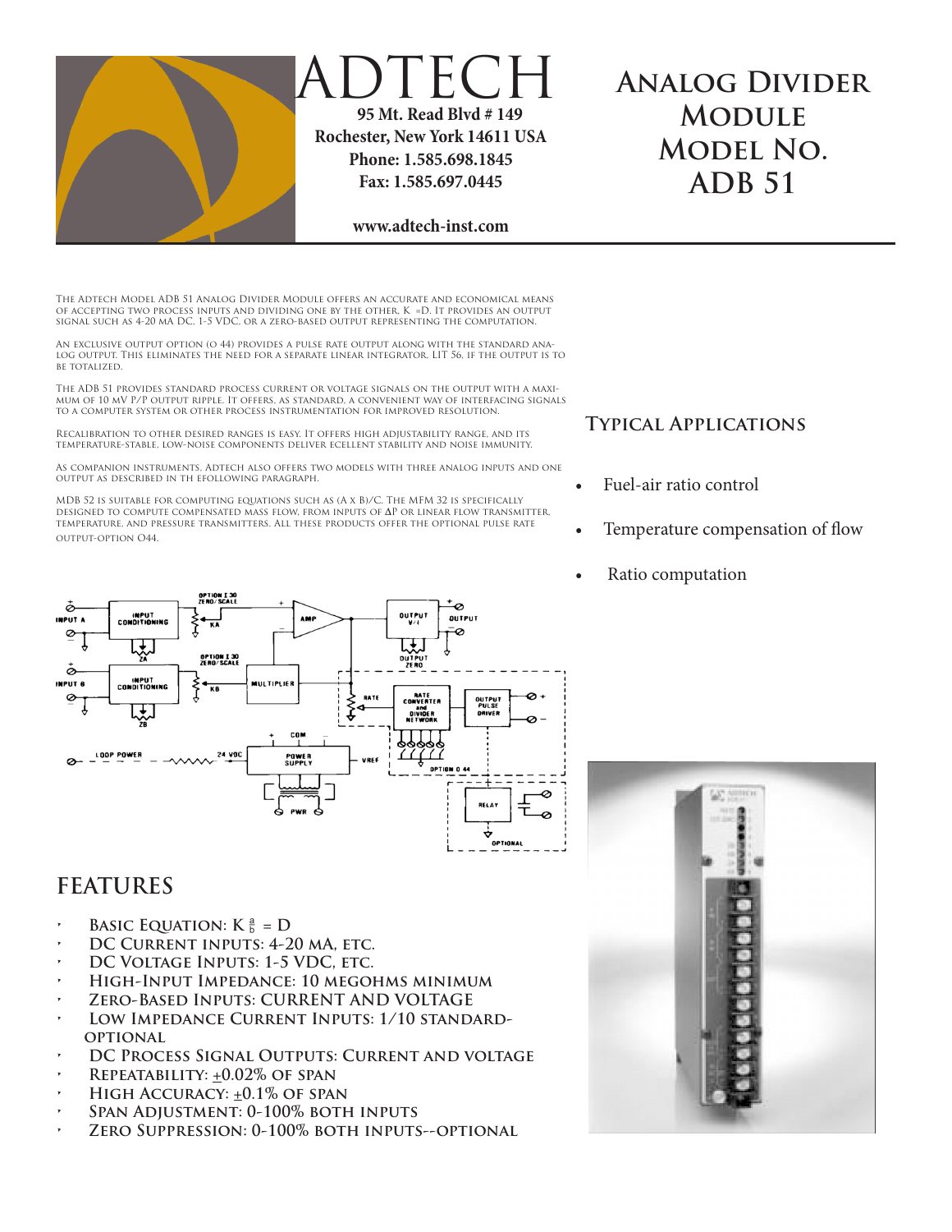

## **DTECH 95 Mt. Read Blvd # 149 Rochester, New York 14611 USA Phone: 1.585.698.1845 Fax: 1.585.697.0445**

# **Analog Divider Module Model No. ADB 51**

#### **www.adtech-inst.com**

The Adtech Model ADB 51 Analog Divider Module offers an accurate and economical means of accepting two process inputs and dividing one by the other, K =D. It provides an output signal such as 4-20 mA DC, 1-5 VDC, or a zero-based output representing the computation.

An exclusive output option (o 44) provides a pulse rate output along with the standard analog output. This eliminates the need for a separate linear integrator, LIT 56, if the output is to BE TOTALIZED.

The ADB 51 provides standard process current or voltage signals on the output with a maximum of 10 mV P/P output ripple. It offers, as standard, a convenient way of interfacing signals to a computer system or other process instrumentation for improved resolution.

Recalibration to other desired ranges is easy. It offers high adjustability range, and its temperature-stable, low-noise components deliver ecellent stability and noise immunity.

As companion instruments, Adtech also offers two models with three analog inputs and one output as described in th efollowing paragraph.

MDB 52 is suitable for computing equations such as (A x B)/C. The MFM 32 is specifically designed to compute compensated mass flow, from inputs of **∆**P or linear flow transmitter, temperature, and pressure transmitters. All these products offer the optional pulse rate output-option O44.



#### **Typical Applications**

- Fuel-air ratio control
- Temperature compensation of flow
- Ratio computation

### **FEATURES**

- **BASIC EQUATION:**  $K \frac{a}{b} = D$
- DC CURRENT INPUTS: 4-20 MA, ETC.
- **DC VOLTAGE INPUTS: 1-5 VDC, ETC.**
- **• High-Input Impedance: 10 megohms minimum**
- *ZERO-BASED INPUTS: CURRENT AND VOLTAGE*
- LOW IMPEDANCE CURRENT INPUTS: 1/10 STANDARD**optional**
- **DC PROCESS SIGNAL OUTPUTS: CURRENT AND VOLTAGE**
- **• Repeatability: +0.02% of span**
- **HIGH ACCURACY:**  $\pm 0.1\%$  **OF SPAN**
- **SPAN ADJUSTMENT: 0-100% BOTH INPUTS**
- *ZERO SUPPRESSION: 0-100% BOTH INPUTS--OPTIONAL*